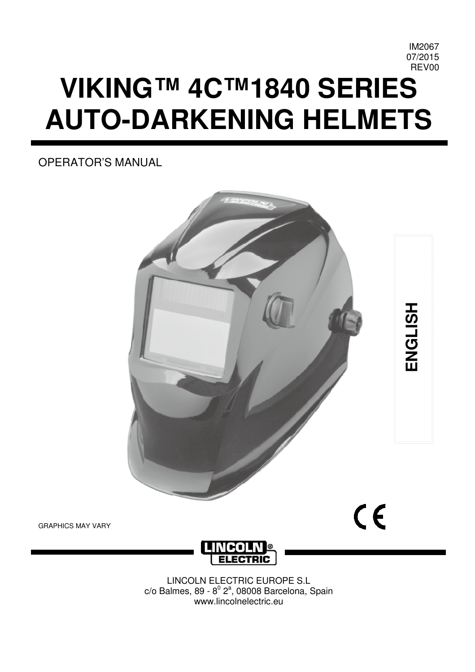# **VIKING™ 4C™1840 SERIES AUTO-DARKENING HELMETS**

OPERATOR'S MANUAL



GRAPHICS MAY VARY



LINCOLN ELECTRIC EUROPE S.L  $c$ /o Balmes, 89 - 8 $^0$  2 $^a$ , 08008 Barcelona, Spain www.lincolnelectric.eu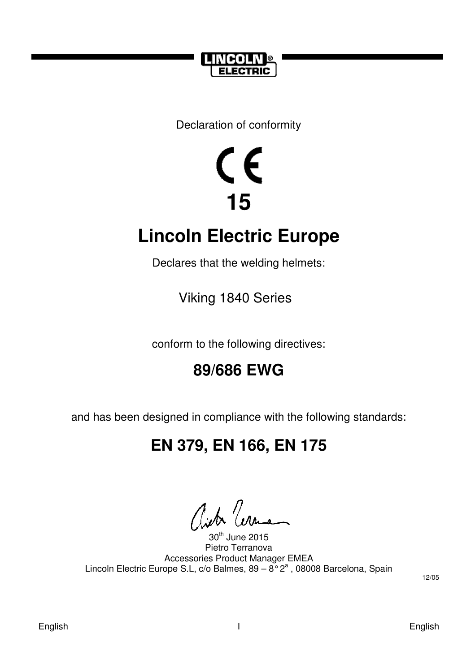

Declaration of conformity

# $\zeta$ **15**

## **Lincoln Electric Europe**

Declares that the welding helmets:

Viking 1840 Series

conform to the following directives:

## **89/686 EWG**

and has been designed in compliance with the following standards:

## **EN 379, EN 166, EN 175**

City Cer

<sup>th</sup> June 2015 Pietro Terranova Accessories Product Manager EMEA Lincoln Electric Europe S.L, c/o Balmes,  $89 - 8^{\circ}2^{a}$ , 08008 Barcelona, Spain

12/05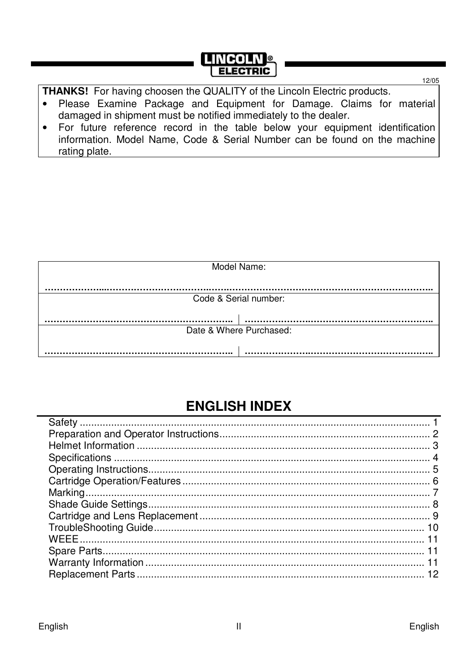## **LINGOLN®**

THANKS! For having choosen the QUALITY of the Lincoln Electric products.

- Please Examine Package and Equipment for Damage. Claims for material  $\bullet$ damaged in shipment must be notified immediately to the dealer.
- For future reference record in the table below your equipment identification  $\bullet$ information. Model Name, Code & Serial Number can be found on the machine rating plate.

|                         | Model Name:           |  |  |
|-------------------------|-----------------------|--|--|
|                         |                       |  |  |
|                         |                       |  |  |
|                         |                       |  |  |
|                         |                       |  |  |
|                         |                       |  |  |
|                         | Code & Serial number: |  |  |
|                         |                       |  |  |
|                         |                       |  |  |
|                         |                       |  |  |
|                         |                       |  |  |
|                         |                       |  |  |
|                         |                       |  |  |
| Date & Where Purchased: |                       |  |  |
|                         |                       |  |  |
|                         |                       |  |  |
|                         |                       |  |  |
|                         |                       |  |  |

## **ENGLISH INDEX**

12/05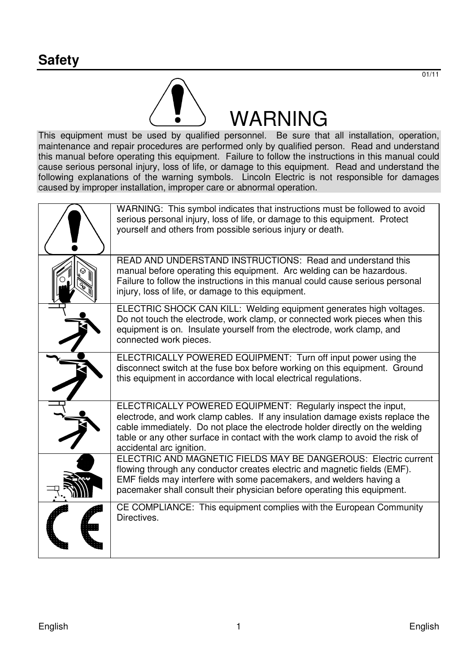

This equipment must be used by qualified personnel. Be sure that all installation, operation, maintenance and repair procedures are performed only by qualified person. Read and understand this manual before operating this equipment. Failure to follow the instructions in this manual could cause serious personal injury, loss of life, or damage to this equipment. Read and understand the following explanations of the warning symbols. Lincoln Electric is not responsible for damages caused by improper installation, improper care or abnormal operation.

| WARNING: This symbol indicates that instructions must be followed to avoid<br>serious personal injury, loss of life, or damage to this equipment. Protect<br>yourself and others from possible serious injury or death.                                                                                                                     |
|---------------------------------------------------------------------------------------------------------------------------------------------------------------------------------------------------------------------------------------------------------------------------------------------------------------------------------------------|
| READ AND UNDERSTAND INSTRUCTIONS: Read and understand this<br>manual before operating this equipment. Arc welding can be hazardous.<br>Failure to follow the instructions in this manual could cause serious personal<br>injury, loss of life, or damage to this equipment.                                                                 |
| ELECTRIC SHOCK CAN KILL: Welding equipment generates high voltages.<br>Do not touch the electrode, work clamp, or connected work pieces when this<br>equipment is on. Insulate yourself from the electrode, work clamp, and<br>connected work pieces.                                                                                       |
| ELECTRICALLY POWERED EQUIPMENT: Turn off input power using the<br>disconnect switch at the fuse box before working on this equipment. Ground<br>this equipment in accordance with local electrical regulations.                                                                                                                             |
| ELECTRICALLY POWERED EQUIPMENT: Regularly inspect the input.<br>electrode, and work clamp cables. If any insulation damage exists replace the<br>cable immediately. Do not place the electrode holder directly on the welding<br>table or any other surface in contact with the work clamp to avoid the risk of<br>accidental arc ignition. |
| ELECTRIC AND MAGNETIC FIELDS MAY BE DANGEROUS: Electric current<br>flowing through any conductor creates electric and magnetic fields (EMF).<br>EMF fields may interfere with some pacemakers, and welders having a<br>pacemaker shall consult their physician before operating this equipment.                                             |
| CE COMPLIANCE: This equipment complies with the European Community<br>Directives.                                                                                                                                                                                                                                                           |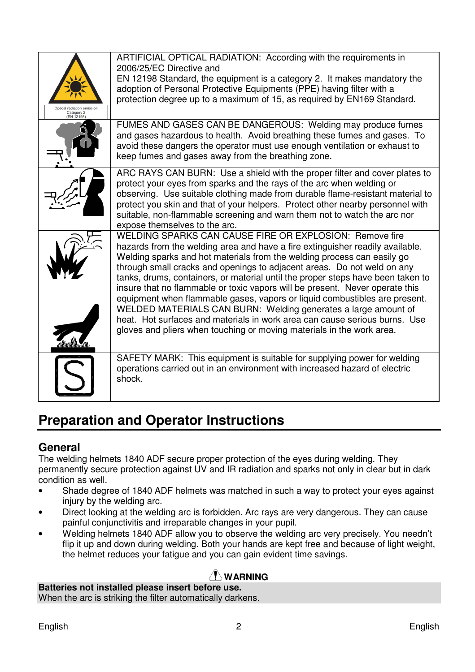| adiation emiss<br>Category 2<br>(EN 12198) | ARTIFICIAL OPTICAL RADIATION: According with the requirements in<br>2006/25/EC Directive and<br>EN 12198 Standard, the equipment is a category 2. It makes mandatory the<br>adoption of Personal Protective Equipments (PPE) having filter with a<br>protection degree up to a maximum of 15, as required by EN169 Standard.                                                                                                                                                                                                                    |
|--------------------------------------------|-------------------------------------------------------------------------------------------------------------------------------------------------------------------------------------------------------------------------------------------------------------------------------------------------------------------------------------------------------------------------------------------------------------------------------------------------------------------------------------------------------------------------------------------------|
|                                            | FUMES AND GASES CAN BE DANGEROUS: Welding may produce fumes<br>and gases hazardous to health. Avoid breathing these fumes and gases. To<br>avoid these dangers the operator must use enough ventilation or exhaust to<br>keep fumes and gases away from the breathing zone.                                                                                                                                                                                                                                                                     |
|                                            | ARC RAYS CAN BURN: Use a shield with the proper filter and cover plates to<br>protect your eyes from sparks and the rays of the arc when welding or<br>observing. Use suitable clothing made from durable flame-resistant material to<br>protect you skin and that of your helpers. Protect other nearby personnel with<br>suitable, non-flammable screening and warn them not to watch the arc nor<br>expose themselves to the arc.                                                                                                            |
|                                            | WELDING SPARKS CAN CAUSE FIRE OR EXPLOSION: Remove fire<br>hazards from the welding area and have a fire extinguisher readily available.<br>Welding sparks and hot materials from the welding process can easily go<br>through small cracks and openings to adjacent areas. Do not weld on any<br>tanks, drums, containers, or material until the proper steps have been taken to<br>insure that no flammable or toxic vapors will be present. Never operate this<br>equipment when flammable gases, vapors or liquid combustibles are present. |
|                                            | WELDED MATERIALS CAN BURN: Welding generates a large amount of<br>heat. Hot surfaces and materials in work area can cause serious burns. Use<br>gloves and pliers when touching or moving materials in the work area.                                                                                                                                                                                                                                                                                                                           |
|                                            | SAFETY MARK: This equipment is suitable for supplying power for welding<br>operations carried out in an environment with increased hazard of electric<br>shock.                                                                                                                                                                                                                                                                                                                                                                                 |

## **Preparation and Operator Instructions**

#### **General**

The welding helmets 1840 ADF secure proper protection of the eyes during welding. They permanently secure protection against UV and IR radiation and sparks not only in clear but in dark condition as well.

- Shade degree of 1840 ADF helmets was matched in such a way to protect your eyes against injury by the welding arc.
- Direct looking at the welding arc is forbidden. Arc rays are very dangerous. They can cause painful conjunctivitis and irreparable changes in your pupil.
- Welding helmets 1840 ADF allow you to observe the welding arc very precisely. You needn't flip it up and down during welding. Both your hands are kept free and because of light weight, the helmet reduces your fatigue and you can gain evident time savings.

#### **WARNING**

#### **Batteries not installed please insert before use.**

When the arc is striking the filter automatically darkens.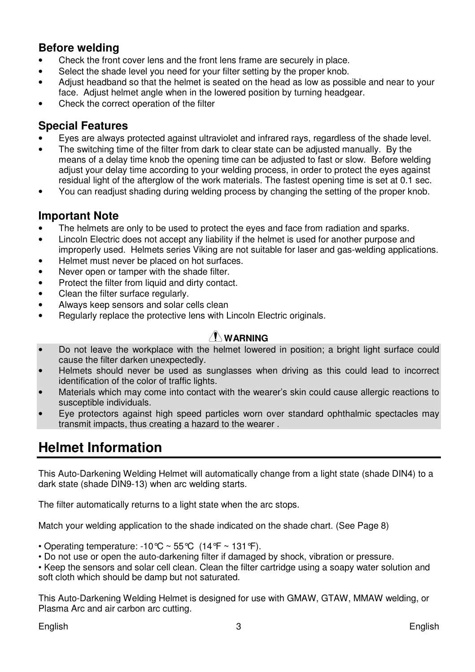#### **Before welding**

- Check the front cover lens and the front lens frame are securely in place.
- Select the shade level you need for your filter setting by the proper knob.
- Adjust headband so that the helmet is seated on the head as low as possible and near to your face. Adjust helmet angle when in the lowered position by turning headgear.
- Check the correct operation of the filter

#### **Special Features**

- Eyes are always protected against ultraviolet and infrared rays, regardless of the shade level.
- The switching time of the filter from dark to clear state can be adjusted manually. By the means of a delay time knob the opening time can be adjusted to fast or slow. Before welding adjust your delay time according to your welding process, in order to protect the eyes against residual light of the afterglow of the work materials. The fastest opening time is set at 0.1 sec.
- You can readjust shading during welding process by changing the setting of the proper knob.

#### **Important Note**

- The helmets are only to be used to protect the eyes and face from radiation and sparks.
- Lincoln Electric does not accept any liability if the helmet is used for another purpose and
- improperly used. Helmets series Viking are not suitable for laser and gas-welding applications.
- Helmet must never be placed on hot surfaces.
- Never open or tamper with the shade filter.
- Protect the filter from liquid and dirty contact.
- Clean the filter surface regularly.
- Always keep sensors and solar cells clean
- Regularly replace the protective lens with Lincoln Electric originals.

#### **WARNING**

- Do not leave the workplace with the helmet lowered in position; a bright light surface could cause the filter darken unexpectedly.
- Helmets should never be used as sunglasses when driving as this could lead to incorrect identification of the color of traffic lights.
- Materials which may come into contact with the wearer's skin could cause allergic reactions to susceptible individuals.
- Eye protectors against high speed particles worn over standard ophthalmic spectacles may transmit impacts, thus creating a hazard to the wearer .

## **Helmet Information**

This Auto-Darkening Welding Helmet will automatically change from a light state (shade DIN4) to a dark state (shade DIN9-13) when arc welding starts.

The filter automatically returns to a light state when the arc stops.

Match your welding application to the shade indicated on the shade chart. (See Page 8)

• Operating temperature: -10 °C ~ 55 °C  $(14 \mathcal{F} \sim 131 \mathcal{F})$ .

• Do not use or open the auto-darkening filter if damaged by shock, vibration or pressure.

• Keep the sensors and solar cell clean. Clean the filter cartridge using a soapy water solution and soft cloth which should be damp but not saturated.

This Auto-Darkening Welding Helmet is designed for use with GMAW, GTAW, MMAW welding, or Plasma Arc and air carbon arc cutting.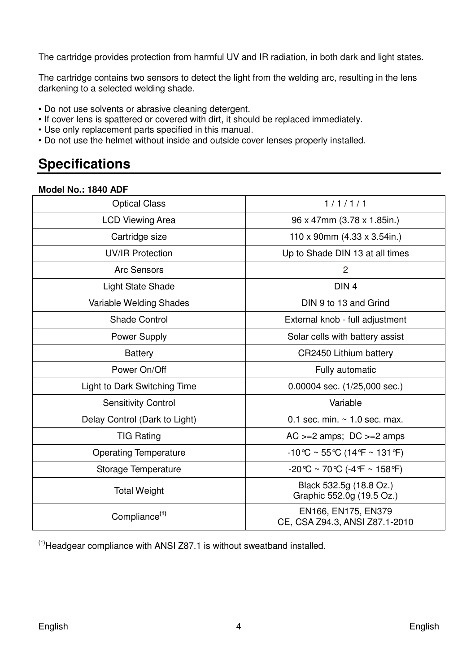The cartridge provides protection from harmful UV and IR radiation, in both dark and light states.

The cartridge contains two sensors to detect the light from the welding arc, resulting in the lens darkening to a selected welding shade.

- Do not use solvents or abrasive cleaning detergent.
- If cover lens is spattered or covered with dirt, it should be replaced immediately.
- Use only replacement parts specified in this manual.
- Do not use the helmet without inside and outside cover lenses properly installed.

## **Specifications**

| Model No.: 1840 ADF |  |  |
|---------------------|--|--|
|                     |  |  |

| <b>Optical Class</b>          | 1/1/1/1                                                                |  |
|-------------------------------|------------------------------------------------------------------------|--|
| <b>LCD Viewing Area</b>       | 96 x 47mm (3.78 x 1.85in.)                                             |  |
| Cartridge size                | 110 x 90mm $(4.33 \times 3.54)$ in.)                                   |  |
| <b>UV/IR Protection</b>       | Up to Shade DIN 13 at all times                                        |  |
| Arc Sensors                   | $\overline{c}$                                                         |  |
| Light State Shade             | DIN <sub>4</sub>                                                       |  |
| Variable Welding Shades       | DIN 9 to 13 and Grind                                                  |  |
| Shade Control                 | External knob - full adjustment                                        |  |
| Power Supply                  | Solar cells with battery assist                                        |  |
| <b>Battery</b>                | CR2450 Lithium battery                                                 |  |
| Power On/Off                  | Fully automatic                                                        |  |
| Light to Dark Switching Time  | $0.00004$ sec. $(1/25,000$ sec.)                                       |  |
| <b>Sensitivity Control</b>    | Variable                                                               |  |
| Delay Control (Dark to Light) | 0.1 sec. min. $\sim$ 1.0 sec. max.                                     |  |
| <b>TIG Rating</b>             | $AC \ge -2$ amps; $DC \ge -2$ amps                                     |  |
| <b>Operating Temperature</b>  | $-10^{\circ}$ C ~ 55 °C (14 °F ~ 131 °F)                               |  |
| Storage Temperature           | $-20^{\circ}$ C ~ 70 $^{\circ}$ C (-4 $^{\circ}$ F ~ 158 $^{\circ}$ F) |  |
| <b>Total Weight</b>           | Black 532.5g (18.8 Oz.)<br>Graphic 552.0g (19.5 Oz.)                   |  |
| Compliance <sup>(1)</sup>     | EN166, EN175, EN379<br>CE, CSA Z94.3, ANSI Z87.1-2010                  |  |

 $<sup>(1)</sup>$  Headgear compliance with ANSI Z87.1 is without sweatband installed.</sup>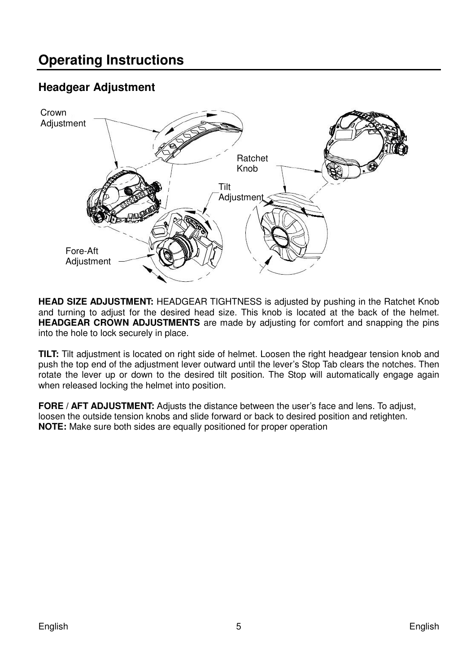#### **Headgear Adjustment**



**HEAD SIZE ADJUSTMENT:** HEADGEAR TIGHTNESS is adjusted by pushing in the Ratchet Knob and turning to adjust for the desired head size. This knob is located at the back of the helmet. **HEADGEAR CROWN ADJUSTMENTS** are made by adjusting for comfort and snapping the pins into the hole to lock securely in place.

**TILT:** Tilt adjustment is located on right side of helmet. Loosen the right headgear tension knob and push the top end of the adjustment lever outward until the lever's Stop Tab clears the notches. Then rotate the lever up or down to the desired tilt position. The Stop will automatically engage again when released locking the helmet into position.

**FORE / AFT ADJUSTMENT:** Adjusts the distance between the user's face and lens. To adjust, loosen the outside tension knobs and slide forward or back to desired position and retighten. **NOTE:** Make sure both sides are equally positioned for proper operation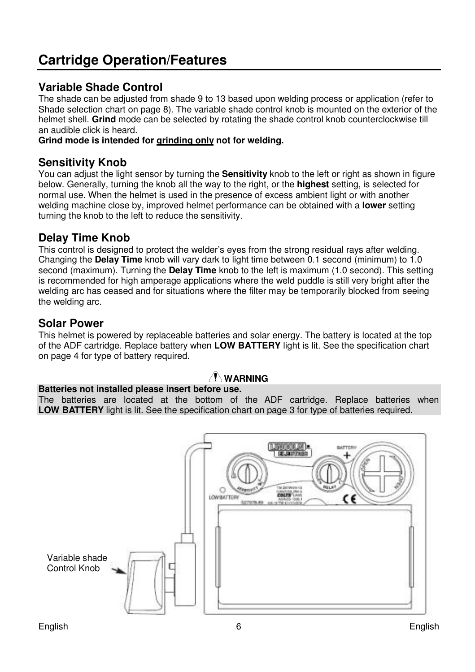## **Cartridge Operation/Features**

#### **Variable Shade Control**

The shade can be adjusted from shade 9 to 13 based upon welding process or application (refer to Shade selection chart on page 8). The variable shade control knob is mounted on the exterior of the helmet shell. **Grind** mode can be selected by rotating the shade control knob counterclockwise till an audible click is heard.

#### **Grind mode is intended for grinding only not for welding.**

#### **Sensitivity Knob**

You can adjust the light sensor by turning the **Sensitivity** knob to the left or right as shown in figure below. Generally, turning the knob all the way to the right, or the **highest** setting, is selected for normal use. When the helmet is used in the presence of excess ambient light or with another welding machine close by, improved helmet performance can be obtained with a **lower** setting turning the knob to the left to reduce the sensitivity.

#### **Delay Time Knob**

This control is designed to protect the welder's eyes from the strong residual rays after welding. Changing the **Delay Time** knob will vary dark to light time between 0.1 second (minimum) to 1.0 second (maximum). Turning the **Delay Time** knob to the left is maximum (1.0 second). This setting is recommended for high amperage applications where the weld puddle is still very bright after the welding arc has ceased and for situations where the filter may be temporarily blocked from seeing the welding arc.

#### **Solar Power**

This helmet is powered by replaceable batteries and solar energy. The battery is located at the top of the ADF cartridge. Replace battery when **LOW BATTERY** light is lit. See the specification chart on page 4 for type of battery required.

#### $\sqrt{N}$  WARNING

#### **Batteries not installed please insert before use.**

The batteries are located at the bottom of the ADF cartridge. Replace batteries when **LOW BATTERY** light is lit. See the specification chart on page 3 for type of batteries required.

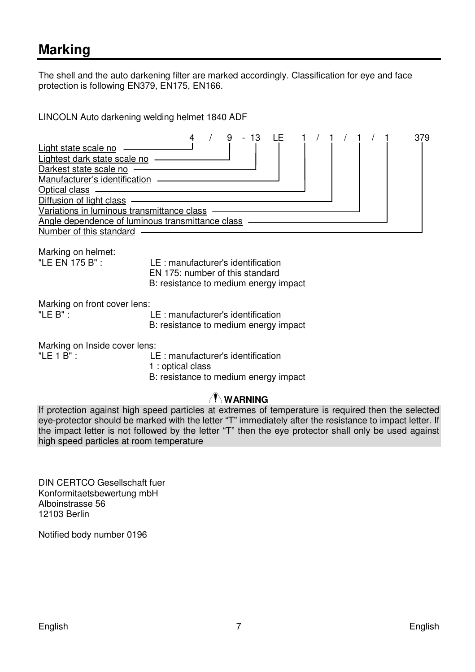### **Marking**

The shell and the auto darkening filter are marked accordingly. Classification for eye and face protection is following EN379, EN175, EN166.

LINCOLN Auto darkening welding helmet 1840 ADF



Marking on front cover lens:<br>"I F B" LE : manufacturer's identification B: resistance to medium energy impact

Marking on Inside cover lens:

"LE 1 B" : LE : manufacturer's identification

1 : optical class

B: resistance to medium energy impact

#### **WARNING**

If protection against high speed particles at extremes of temperature is required then the selected eye-protector should be marked with the letter "T" immediately after the resistance to impact letter. If the impact letter is not followed by the letter "T" then the eye protector shall only be used against high speed particles at room temperature

DIN CERTCO Gesellschaft fuer Konformitaetsbewertung mbH Alboinstrasse 56 12103 Berlin

Notified body number 0196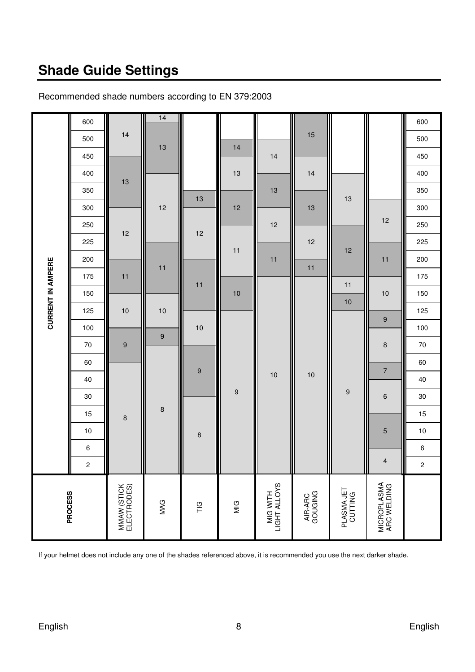## **Shade Guide Settings**

| PROCESS                    |                         |   |    |        |                  |                  |    |                  |     |     |     | <b>CURRENT IN AMPERE</b> |     |     |     |     |     |     |     |     |     |
|----------------------------|-------------------------|---|----|--------|------------------|------------------|----|------------------|-----|-----|-----|--------------------------|-----|-----|-----|-----|-----|-----|-----|-----|-----|
|                            | $\overline{\mathbf{c}}$ | 6 | 10 | 15     | 30               | 40               | 60 | 70               | 100 | 125 | 150 | 175                      | 200 | 225 | 250 | 300 | 350 | 400 | 450 | 500 | 600 |
| MMAW (STICK<br>ELECTRODES) |                         |   |    | 8      |                  |                  |    | 9                |     | 10  |     | 11                       |     | 12  |     |     | 13  |     |     | 14  |     |
| MAG                        |                         |   |    | $\bf8$ |                  |                  |    | $\boldsymbol{9}$ |     | 10  |     | 11                       |     |     |     | 12  |     |     | 13  |     | 14  |
| $\frac{G}{L}$              |                         |   | 8  |        |                  | $\boldsymbol{9}$ |    |                  | 10  |     | 11  |                          |     | 12  |     | 13  |     |     |     |     |     |
| $\frac{G}{M}$              |                         |   |    |        | $\boldsymbol{9}$ |                  |    |                  |     |     | 10  |                          | 11  |     |     | 12  |     | 13  | 14  |     |     |
| MIG WITH<br>LIGHT ALLOYS   |                         |   |    |        |                  | 10               |    |                  |     |     |     |                          | 11  |     | 12  |     | 13  |     | 14  |     |     |
| AIR-ARC<br>GOUGING         |                         |   |    |        |                  | 10               |    |                  |     |     |     | 11                       |     | 12  |     | 13  |     | 14  |     | 15  |     |
| PLASMA JET<br>CUTTING      |                         |   |    |        | 9                |                  |    |                  |     | 10  | 11  |                          | 12  |     |     | 13  |     |     |     |     |     |
| MICROPLASMA<br>ARC WELDING | 4                       |   | 5  |        | 6                | $\overline{7}$   |    | 8                | 9   |     | 10  |                          | 11  |     | 12  |     |     |     |     |     |     |
|                            | $\mathbf 2$             | 6 | 10 | 15     | 30               | 40               | 60 | 70               | 100 | 125 | 150 | 175                      | 200 | 225 | 250 | 300 | 350 | 400 | 450 | 500 | 600 |

#### Recommended shade numbers according to EN 379:2003

If your helmet does not include any one of the shades referenced above, it is recommended you use the next darker shade.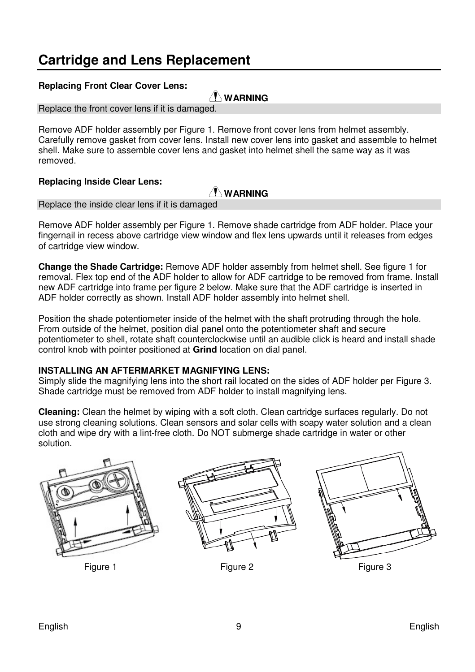## **Cartridge and Lens Replacement**

#### **Replacing Front Clear Cover Lens:**

#### **WARNING**

Replace the front cover lens if it is damaged.

Remove ADF holder assembly per Figure 1. Remove front cover lens from helmet assembly. Carefully remove gasket from cover lens. Install new cover lens into gasket and assemble to helmet shell. Make sure to assemble cover lens and gasket into helmet shell the same way as it was removed.

#### **Replacing Inside Clear Lens:**

#### $\sqrt{N}$  WARNING

Replace the inside clear lens if it is damaged

Remove ADF holder assembly per Figure 1. Remove shade cartridge from ADF holder. Place your fingernail in recess above cartridge view window and flex lens upwards until it releases from edges of cartridge view window.

**Change the Shade Cartridge:** Remove ADF holder assembly from helmet shell. See figure 1 for removal. Flex top end of the ADF holder to allow for ADF cartridge to be removed from frame. Install new ADF cartridge into frame per figure 2 below. Make sure that the ADF cartridge is inserted in ADF holder correctly as shown. Install ADF holder assembly into helmet shell.

Position the shade potentiometer inside of the helmet with the shaft protruding through the hole. From outside of the helmet, position dial panel onto the potentiometer shaft and secure potentiometer to shell, rotate shaft counterclockwise until an audible click is heard and install shade control knob with pointer positioned at **Grind** location on dial panel.

#### **INSTALLING AN AFTERMARKET MAGNIFYING LENS:**

Simply slide the magnifying lens into the short rail located on the sides of ADF holder per Figure 3. Shade cartridge must be removed from ADF holder to install magnifying lens.

**Cleaning:** Clean the helmet by wiping with a soft cloth. Clean cartridge surfaces regularly. Do not use strong cleaning solutions. Clean sensors and solar cells with soapy water solution and a clean cloth and wipe dry with a lint-free cloth. Do NOT submerge shade cartridge in water or other solution.







Figure 1 Figure 2 Figure 2 Figure 3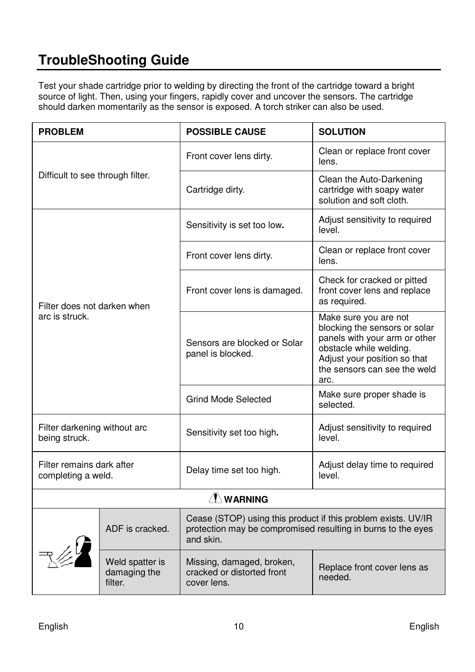## **TroubleShooting Guide**

Test your shade cartridge prior to welding by directing the front of the cartridge toward a bright source of light. Then, using your fingers, rapidly cover and uncover the sensors. The cartridge should darken momentarily as the sensor is exposed. A torch striker can also be used.

| <b>PROBLEM</b>                                  |                                            | <b>POSSIBLE CAUSE</b>                                                                                                                      | <b>SOLUTION</b>                                                                                                                                                                            |  |
|-------------------------------------------------|--------------------------------------------|--------------------------------------------------------------------------------------------------------------------------------------------|--------------------------------------------------------------------------------------------------------------------------------------------------------------------------------------------|--|
|                                                 |                                            | Front cover lens dirty.                                                                                                                    | Clean or replace front cover<br>lens.                                                                                                                                                      |  |
| Difficult to see through filter.                |                                            | Cartridge dirty.                                                                                                                           | Clean the Auto-Darkening<br>cartridge with soapy water<br>solution and soft cloth.                                                                                                         |  |
|                                                 |                                            | Sensitivity is set too low.                                                                                                                | Adjust sensitivity to required<br>level.                                                                                                                                                   |  |
|                                                 |                                            | Front cover lens dirty.                                                                                                                    | Clean or replace front cover<br>lens.                                                                                                                                                      |  |
| Filter does not darken when                     |                                            | Front cover lens is damaged.                                                                                                               | Check for cracked or pitted<br>front cover lens and replace<br>as required.                                                                                                                |  |
| arc is struck.                                  |                                            | Sensors are blocked or Solar<br>panel is blocked.                                                                                          | Make sure you are not<br>blocking the sensors or solar<br>panels with your arm or other<br>obstacle while welding.<br>Adjust your position so that<br>the sensors can see the weld<br>arc. |  |
|                                                 |                                            | <b>Grind Mode Selected</b>                                                                                                                 | Make sure proper shade is<br>selected.                                                                                                                                                     |  |
| Filter darkening without arc<br>being struck.   |                                            | Sensitivity set too high.                                                                                                                  | Adjust sensitivity to required<br>level.                                                                                                                                                   |  |
| Filter remains dark after<br>completing a weld. |                                            | Delay time set too high.                                                                                                                   | Adjust delay time to required<br>level.                                                                                                                                                    |  |
|                                                 |                                            | $\Lambda$ WARNING                                                                                                                          |                                                                                                                                                                                            |  |
|                                                 | ADF is cracked.                            | Cease (STOP) using this product if this problem exists. UV/IR<br>protection may be compromised resulting in burns to the eyes<br>and skin. |                                                                                                                                                                                            |  |
|                                                 | Weld spatter is<br>damaging the<br>filter. | Missing, damaged, broken,<br>cracked or distorted front<br>cover lens.                                                                     | Replace front cover lens as<br>needed.                                                                                                                                                     |  |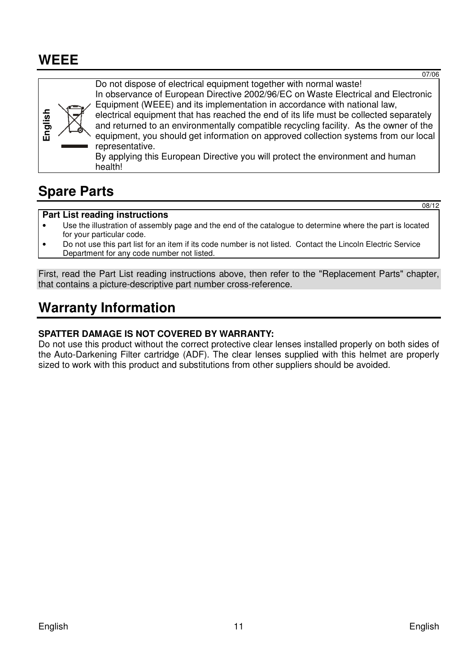## **WEEE**

**English**  Do not dispose of electrical equipment together with normal waste! In observance of European Directive 2002/96/EC on Waste Electrical and Electronic Equipment (WEEE) and its implementation in accordance with national law, electrical equipment that has reached the end of its life must be collected separately and returned to an environmentally compatible recycling facility. As the owner of the equipment, you should get information on approved collection systems from our local representative. By applying this European Directive you will protect the environment and human health!

## **Spare Parts**

#### **Part List reading instructions**

- Use the illustration of assembly page and the end of the catalogue to determine where the part is located for your particular code.
- Do not use this part list for an item if its code number is not listed. Contact the Lincoln Electric Service Department for any code number not listed.

First, read the Part List reading instructions above, then refer to the "Replacement Parts" chapter, that contains a picture-descriptive part number cross-reference.

## **Warranty Information**

#### **SPATTER DAMAGE IS NOT COVERED BY WARRANTY:**

Do not use this product without the correct protective clear lenses installed properly on both sides of the Auto-Darkening Filter cartridge (ADF). The clear lenses supplied with this helmet are properly sized to work with this product and substitutions from other suppliers should be avoided.

07/06

08/12